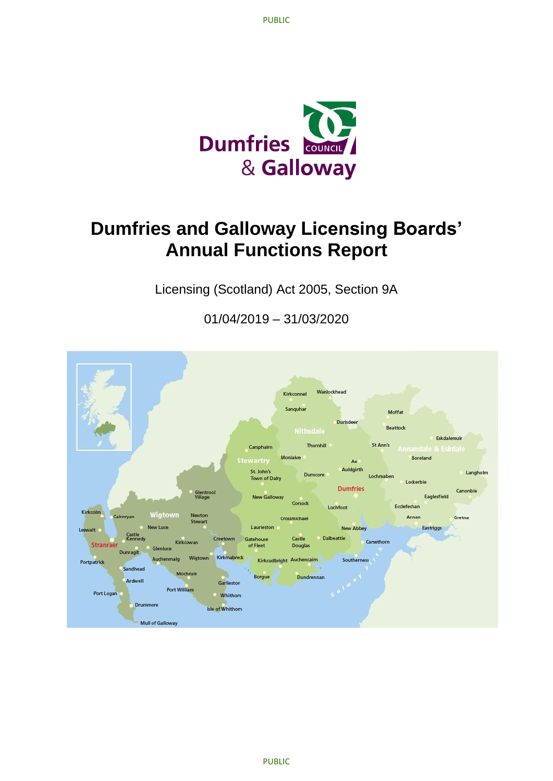

# **Dumfries and Galloway Licensing Boards' Annual Functions Report**

Licensing (Scotland) Act 2005, Section 9A

01/04/2019 – 31/03/2020

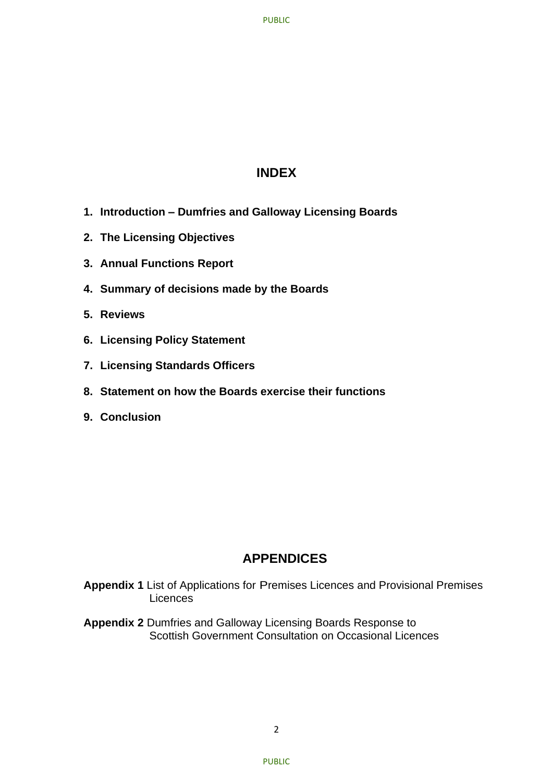# **INDEX**

- **1. Introduction – Dumfries and Galloway Licensing Boards**
- **2. The Licensing Objectives**
- **3. Annual Functions Report**
- **4. Summary of decisions made by the Boards**
- **5. Reviews**
- **6. Licensing Policy Statement**
- **7. Licensing Standards Officers**
- **8. Statement on how the Boards exercise their functions**
- **9. Conclusion**

# **APPENDICES**

- **Appendix 1** List of Applications for Premises Licences and Provisional Premises **Licences**
- **Appendix 2** Dumfries and Galloway Licensing Boards Response to Scottish Government Consultation on Occasional Licences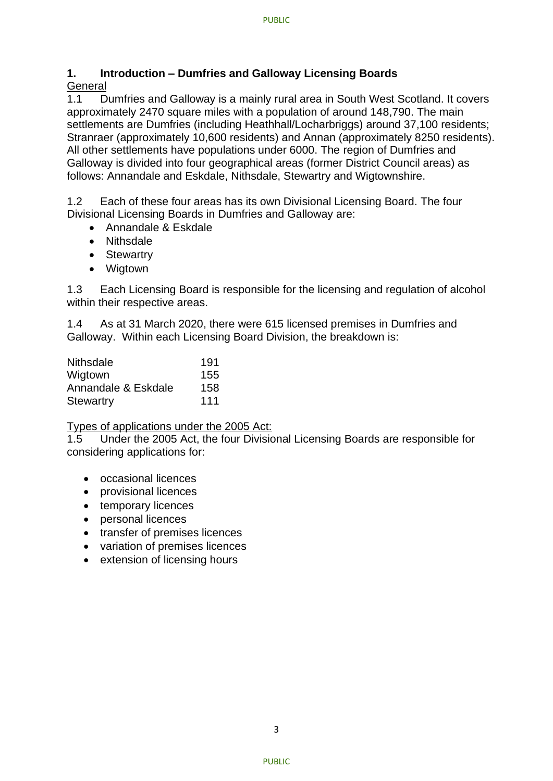# **1. Introduction – Dumfries and Galloway Licensing Boards**

# **General**

1.1 Dumfries and Galloway is a mainly rural area in South West Scotland. It covers approximately 2470 square miles with a population of around 148,790. The main settlements are Dumfries (including Heathhall/Locharbriggs) around 37,100 residents; Stranraer (approximately 10,600 residents) and Annan (approximately 8250 residents). All other settlements have populations under 6000. The region of Dumfries and Galloway is divided into four geographical areas (former District Council areas) as follows: Annandale and Eskdale, Nithsdale, Stewartry and Wigtownshire.

1.2 Each of these four areas has its own Divisional Licensing Board. The four Divisional Licensing Boards in Dumfries and Galloway are:

- Annandale & Eskdale
- Nithsdale
- Stewartry
- Wigtown

1.3 Each Licensing Board is responsible for the licensing and regulation of alcohol within their respective areas.

1.4 As at 31 March 2020, there were 615 licensed premises in Dumfries and Galloway. Within each Licensing Board Division, the breakdown is:

| <b>Nithsdale</b>    | 191 |
|---------------------|-----|
| Wigtown             | 155 |
| Annandale & Eskdale | 158 |
| <b>Stewartry</b>    | 111 |

Types of applications under the 2005 Act:

1.5 Under the 2005 Act, the four Divisional Licensing Boards are responsible for considering applications for:

- occasional licences
- provisional licences
- temporary licences
- personal licences
- transfer of premises licences
- variation of premises licences
- extension of licensing hours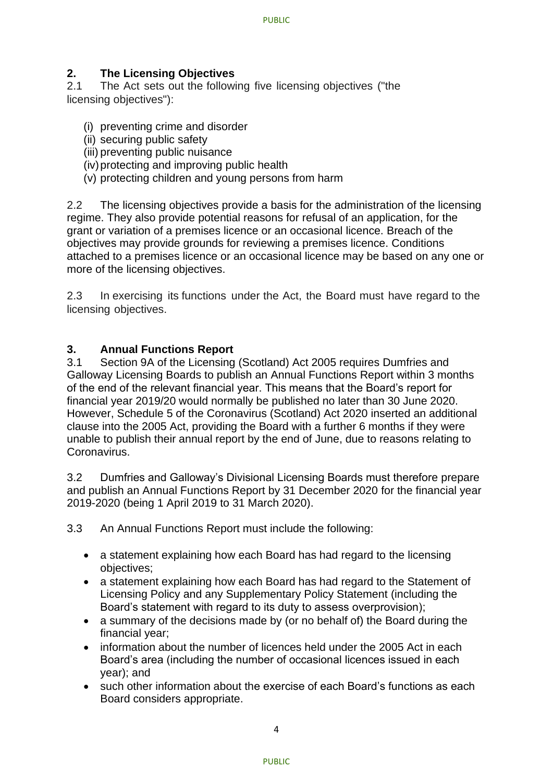# **2. The Licensing Objectives**

2.1 The Act sets out the following five licensing objectives ("the licensing objectives"):

- (i) preventing crime and disorder
- (ii) securing public safety
- (iii) preventing public nuisance
- (iv)protecting and improving public health
- (v) protecting children and young persons from harm

2.2 The licensing objectives provide a basis for the administration of the licensing regime. They also provide potential reasons for refusal of an application, for the grant or variation of a premises licence or an occasional licence. Breach of the objectives may provide grounds for reviewing a premises licence. Conditions attached to a premises licence or an occasional licence may be based on any one or more of the licensing objectives.

2.3 In exercising its functions under the Act, the Board must have regard to the licensing objectives.

### **3. Annual Functions Report**

3.1 Section 9A of the Licensing (Scotland) Act 2005 requires Dumfries and Galloway Licensing Boards to publish an Annual Functions Report within 3 months of the end of the relevant financial year. This means that the Board's report for financial year 2019/20 would normally be published no later than 30 June 2020. However, Schedule 5 of the Coronavirus (Scotland) Act 2020 inserted an additional clause into the 2005 Act, providing the Board with a further 6 months if they were unable to publish their annual report by the end of June, due to reasons relating to Coronavirus.

3.2 Dumfries and Galloway's Divisional Licensing Boards must therefore prepare and publish an Annual Functions Report by 31 December 2020 for the financial year 2019-2020 (being 1 April 2019 to 31 March 2020).

3.3 An Annual Functions Report must include the following:

- a statement explaining how each Board has had regard to the licensing objectives;
- a statement explaining how each Board has had regard to the Statement of Licensing Policy and any Supplementary Policy Statement (including the Board's statement with regard to its duty to assess overprovision);
- a summary of the decisions made by (or no behalf of) the Board during the financial year;
- information about the number of licences held under the 2005 Act in each Board's area (including the number of occasional licences issued in each year); and
- such other information about the exercise of each Board's functions as each Board considers appropriate.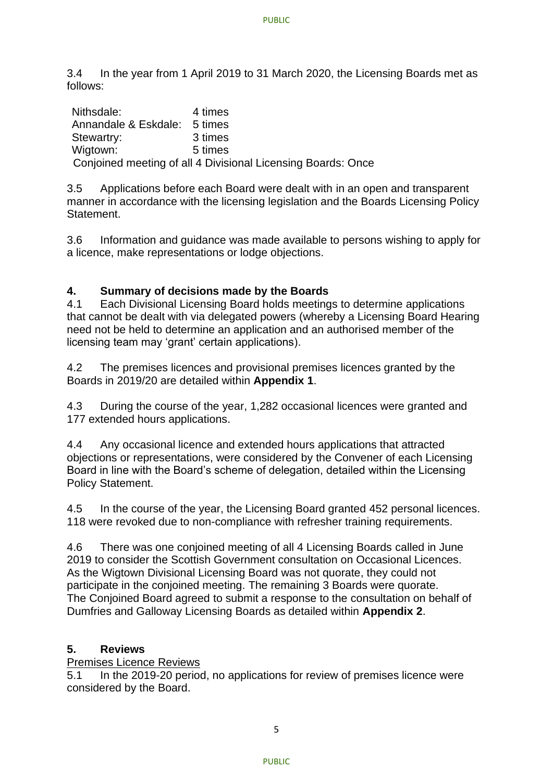3.4 In the year from 1 April 2019 to 31 March 2020, the Licensing Boards met as follows:

Nithsdale: 4 times Annandale & Eskdale: 5 times Stewartry: 3 times Wigtown: 5 times Conjoined meeting of all 4 Divisional Licensing Boards: Once

3.5 Applications before each Board were dealt with in an open and transparent manner in accordance with the licensing legislation and the Boards Licensing Policy Statement.

3.6 Information and guidance was made available to persons wishing to apply for a licence, make representations or lodge objections.

# **4. Summary of decisions made by the Boards**

4.1 Each Divisional Licensing Board holds meetings to determine applications that cannot be dealt with via delegated powers (whereby a Licensing Board Hearing need not be held to determine an application and an authorised member of the licensing team may 'grant' certain applications).

4.2 The premises licences and provisional premises licences granted by the Boards in 2019/20 are detailed within **Appendix 1**.

4.3 During the course of the year, 1,282 occasional licences were granted and 177 extended hours applications.

4.4 Any occasional licence and extended hours applications that attracted objections or representations, were considered by the Convener of each Licensing Board in line with the Board's scheme of delegation, detailed within the Licensing Policy Statement.

4.5 In the course of the year, the Licensing Board granted 452 personal licences. 118 were revoked due to non-compliance with refresher training requirements.

4.6 There was one conjoined meeting of all 4 Licensing Boards called in June 2019 to consider the Scottish Government consultation on Occasional Licences. As the Wigtown Divisional Licensing Board was not quorate, they could not participate in the conjoined meeting. The remaining 3 Boards were quorate. The Conjoined Board agreed to submit a response to the consultation on behalf of Dumfries and Galloway Licensing Boards as detailed within **Appendix 2**.

# **5. Reviews**

Premises Licence Reviews

5.1 In the 2019-20 period, no applications for review of premises licence were considered by the Board.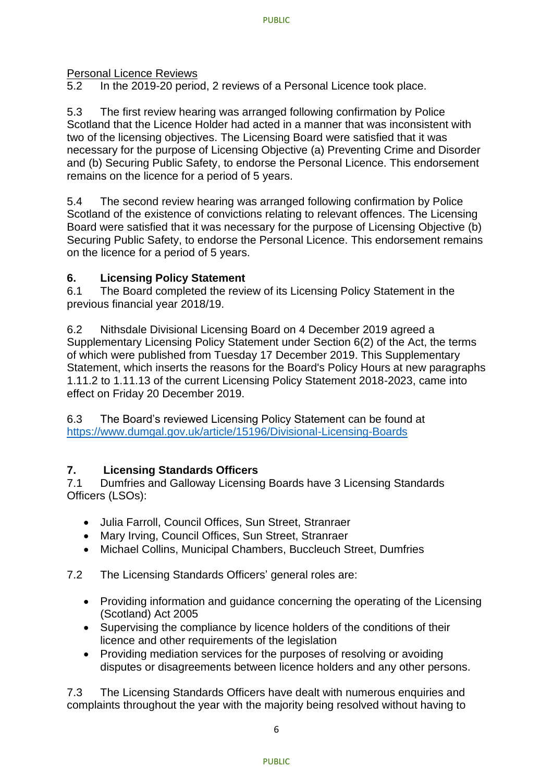Personal Licence Reviews

5.2 In the 2019-20 period, 2 reviews of a Personal Licence took place.

5.3 The first review hearing was arranged following confirmation by Police Scotland that the Licence Holder had acted in a manner that was inconsistent with two of the licensing objectives. The Licensing Board were satisfied that it was necessary for the purpose of Licensing Objective (a) Preventing Crime and Disorder and (b) Securing Public Safety, to endorse the Personal Licence. This endorsement remains on the licence for a period of 5 years.

5.4 The second review hearing was arranged following confirmation by Police Scotland of the existence of convictions relating to relevant offences. The Licensing Board were satisfied that it was necessary for the purpose of Licensing Objective (b) Securing Public Safety, to endorse the Personal Licence. This endorsement remains on the licence for a period of 5 years.

# **6. Licensing Policy Statement**

6.1 The Board completed the review of its Licensing Policy Statement in the previous financial year 2018/19.

6.2 Nithsdale Divisional Licensing Board on 4 December 2019 agreed a Supplementary Licensing Policy Statement under Section 6(2) of the Act, the terms of which were published from Tuesday 17 December 2019. This Supplementary Statement, which inserts the reasons for the Board's Policy Hours at new paragraphs 1.11.2 to 1.11.13 of the current Licensing Policy Statement 2018-2023, came into effect on Friday 20 December 2019.

6.3 The Board's reviewed Licensing Policy Statement can be found at <https://www.dumgal.gov.uk/article/15196/Divisional-Licensing-Boards>

# **7. Licensing Standards Officers**

7.1 Dumfries and Galloway Licensing Boards have 3 Licensing Standards Officers (LSOs):

- Julia Farroll, Council Offices, Sun Street, Stranraer
- Mary Irving, Council Offices, Sun Street, Stranraer
- Michael Collins, Municipal Chambers, Buccleuch Street, Dumfries

7.2 The Licensing Standards Officers' general roles are:

- Providing information and guidance concerning the operating of the Licensing (Scotland) Act 2005
- Supervising the compliance by licence holders of the conditions of their licence and other requirements of the legislation
- Providing mediation services for the purposes of resolving or avoiding disputes or disagreements between licence holders and any other persons.

7.3 The Licensing Standards Officers have dealt with numerous enquiries and complaints throughout the year with the majority being resolved without having to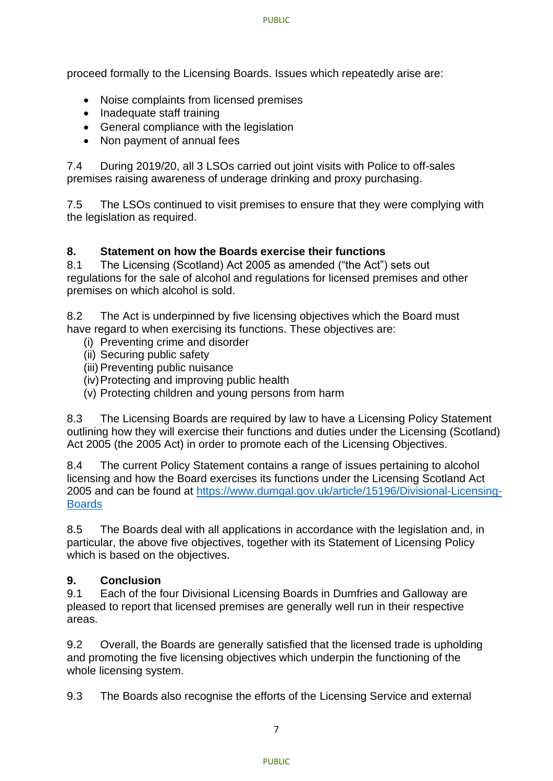proceed formally to the Licensing Boards. Issues which repeatedly arise are:

- Noise complaints from licensed premises
- Inadequate staff training
- General compliance with the legislation
- Non payment of annual fees

7.4 During 2019/20, all 3 LSOs carried out joint visits with Police to off-sales premises raising awareness of underage drinking and proxy purchasing.

7.5 The LSOs continued to visit premises to ensure that they were complying with the legislation as required.

# **8. Statement on how the Boards exercise their functions**

8.1 The Licensing (Scotland) Act 2005 as amended ("the Act") sets out regulations for the sale of alcohol and regulations for licensed premises and other premises on which alcohol is sold.

8.2 The Act is underpinned by five licensing objectives which the Board must have regard to when exercising its functions. These objectives are:

- (i) Preventing crime and disorder
- (ii) Securing public safety
- (iii) Preventing public nuisance
- (iv)Protecting and improving public health
- (v) Protecting children and young persons from harm

8.3 The Licensing Boards are required by law to have a Licensing Policy Statement outlining how they will exercise their functions and duties under the Licensing (Scotland) Act 2005 (the 2005 Act) in order to promote each of the Licensing Objectives.

8.4 The current Policy Statement contains a range of issues pertaining to alcohol licensing and how the Board exercises its functions under the Licensing Scotland Act 2005 and can be found at [https://www.dumgal.gov.uk/article/15196/Divisional-Licensing-](https://www.dumgal.gov.uk/article/15196/Divisional-Licensing-Boards)**[Boards](https://www.dumgal.gov.uk/article/15196/Divisional-Licensing-Boards)** 

8.5 The Boards deal with all applications in accordance with the legislation and, in particular, the above five objectives, together with its Statement of Licensing Policy which is based on the objectives.

# **9. Conclusion**

9.1 Each of the four Divisional Licensing Boards in Dumfries and Galloway are pleased to report that licensed premises are generally well run in their respective areas.

9.2 Overall, the Boards are generally satisfied that the licensed trade is upholding and promoting the five licensing objectives which underpin the functioning of the whole licensing system.

9.3 The Boards also recognise the efforts of the Licensing Service and external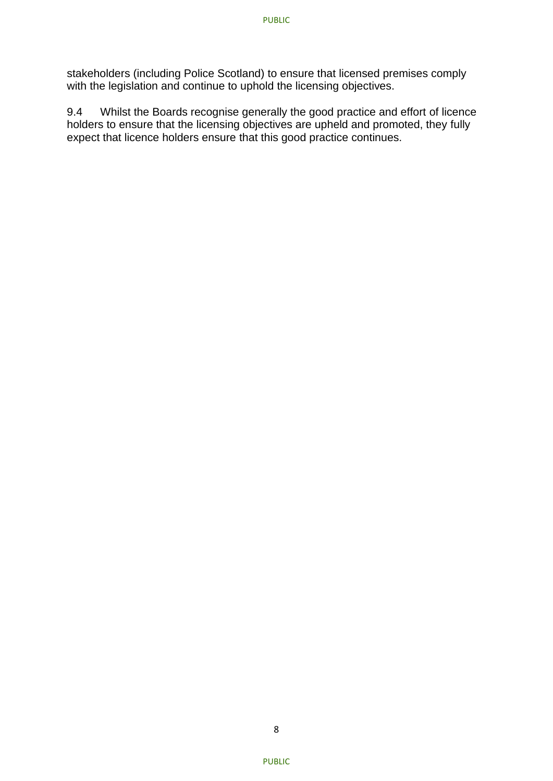stakeholders (including Police Scotland) to ensure that licensed premises comply with the legislation and continue to uphold the licensing objectives.

9.4 Whilst the Boards recognise generally the good practice and effort of licence holders to ensure that the licensing objectives are upheld and promoted, they fully expect that licence holders ensure that this good practice continues.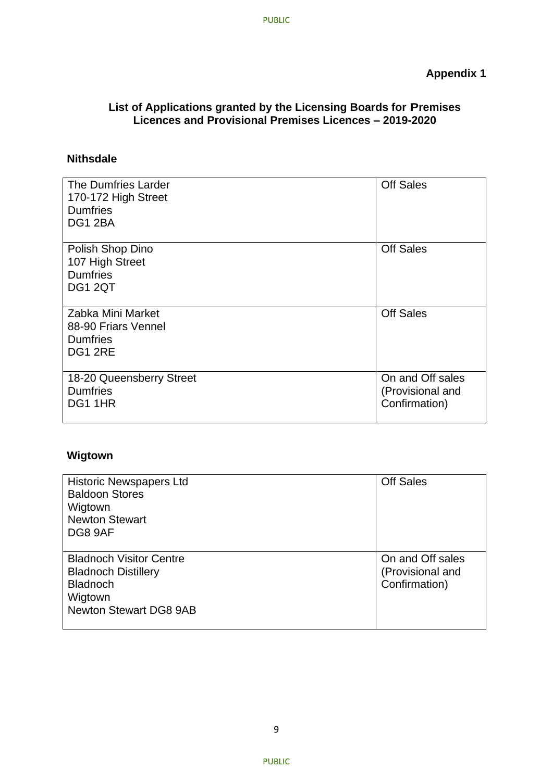### **List of Applications granted by the Licensing Boards for Premises Licences and Provisional Premises Licences – 2019-2020**

# **Nithsdale**

| The Dumfries Larder<br>170-172 High Street<br><b>Dumfries</b><br>DG1 2BA | <b>Off Sales</b>                                      |
|--------------------------------------------------------------------------|-------------------------------------------------------|
|                                                                          |                                                       |
| Polish Shop Dino<br>107 High Street<br><b>Dumfries</b><br><b>DG1 2QT</b> | <b>Off Sales</b>                                      |
| Zabka Mini Market<br>88-90 Friars Vennel<br><b>Dumfries</b><br>DG1 2RE   | <b>Off Sales</b>                                      |
| 18-20 Queensberry Street<br><b>Dumfries</b><br>DG1 1HR                   | On and Off sales<br>(Provisional and<br>Confirmation) |

# **Wigtown**

| <b>Historic Newspapers Ltd</b><br><b>Baldoon Stores</b><br>Wigtown<br><b>Newton Stewart</b><br>DG8 9AF                      | <b>Off Sales</b>                                      |
|-----------------------------------------------------------------------------------------------------------------------------|-------------------------------------------------------|
| <b>Bladnoch Visitor Centre</b><br><b>Bladnoch Distillery</b><br><b>Bladnoch</b><br>Wigtown<br><b>Newton Stewart DG8 9AB</b> | On and Off sales<br>(Provisional and<br>Confirmation) |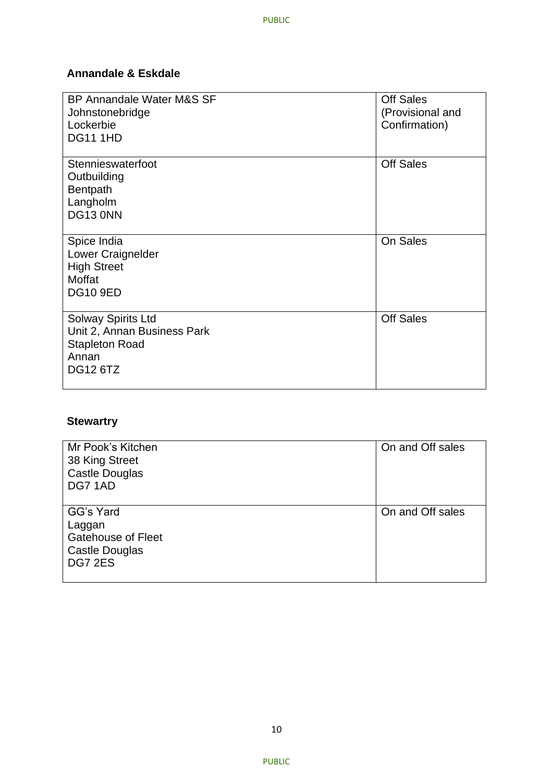# **Annandale & Eskdale**

| BP Annandale Water M&S SF<br>Johnstonebridge<br>Lockerbie<br><b>DG11 1HD</b>                                  | <b>Off Sales</b><br>(Provisional and<br>Confirmation) |
|---------------------------------------------------------------------------------------------------------------|-------------------------------------------------------|
|                                                                                                               |                                                       |
| Stennieswaterfoot<br>Outbuilding<br>Bentpath<br>Langholm<br>DG13 0NN                                          | <b>Off Sales</b>                                      |
| Spice India<br>Lower Craignelder<br><b>High Street</b><br>Moffat<br><b>DG10 9ED</b>                           | On Sales                                              |
| <b>Solway Spirits Ltd</b><br>Unit 2, Annan Business Park<br><b>Stapleton Road</b><br>Annan<br><b>DG12 6TZ</b> | <b>Off Sales</b>                                      |

# **Stewartry**

| Mr Pook's Kitchen<br>38 King Street<br>Castle Douglas<br>DG7 1AD              | On and Off sales |
|-------------------------------------------------------------------------------|------------------|
| GG's Yard<br>Laggan<br><b>Gatehouse of Fleet</b><br>Castle Douglas<br>DG7 2ES | On and Off sales |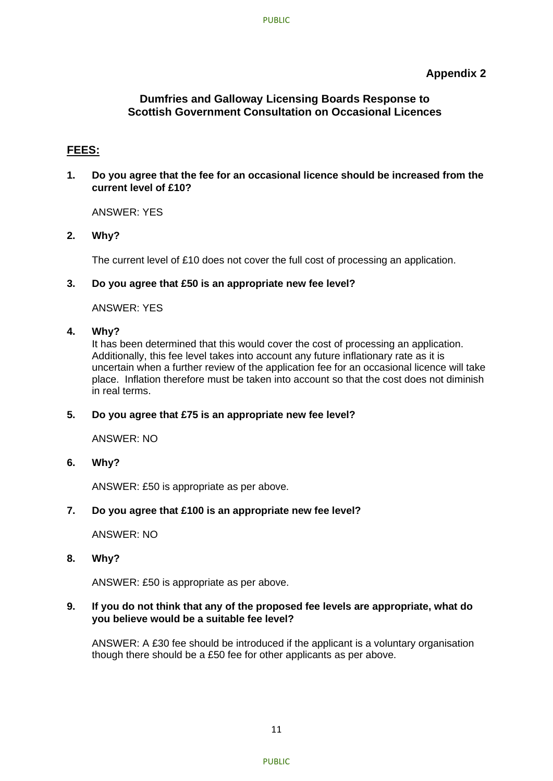### **Appendix 2**

### **Dumfries and Galloway Licensing Boards Response to Scottish Government Consultation on Occasional Licences**

### **FEES:**

**1. Do you agree that the fee for an occasional licence should be increased from the current level of £10?**

ANSWER: YES

**2. Why?**

The current level of £10 does not cover the full cost of processing an application.

### **3. Do you agree that £50 is an appropriate new fee level?**

ANSWER: YES

#### **4. Why?**

It has been determined that this would cover the cost of processing an application. Additionally, this fee level takes into account any future inflationary rate as it is uncertain when a further review of the application fee for an occasional licence will take place. Inflation therefore must be taken into account so that the cost does not diminish in real terms.

### **5. Do you agree that £75 is an appropriate new fee level?**

ANSWER: NO

**6. Why?**

ANSWER: £50 is appropriate as per above.

### **7. Do you agree that £100 is an appropriate new fee level?**

ANSWER: NO

**8. Why?**

ANSWER: £50 is appropriate as per above.

#### **9. If you do not think that any of the proposed fee levels are appropriate, what do you believe would be a suitable fee level?**

ANSWER: A £30 fee should be introduced if the applicant is a voluntary organisation though there should be a £50 fee for other applicants as per above.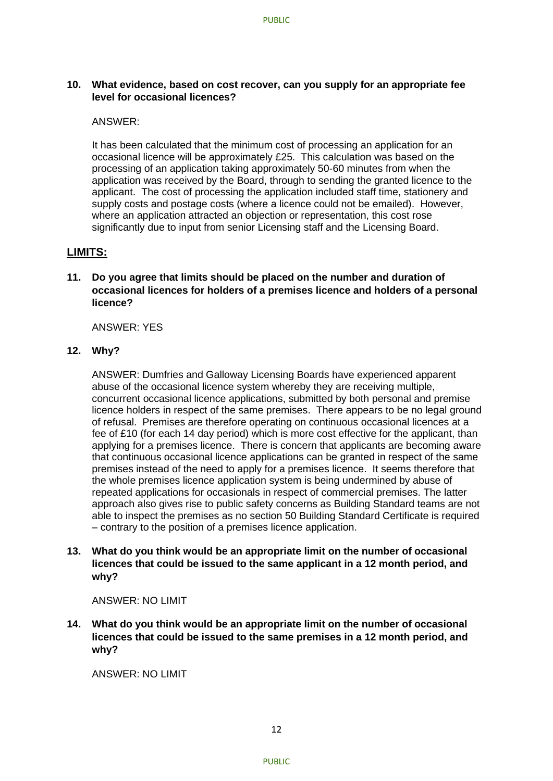### **10. What evidence, based on cost recover, can you supply for an appropriate fee level for occasional licences?**

#### ANSWER:

It has been calculated that the minimum cost of processing an application for an occasional licence will be approximately £25. This calculation was based on the processing of an application taking approximately 50-60 minutes from when the application was received by the Board, through to sending the granted licence to the applicant. The cost of processing the application included staff time, stationery and supply costs and postage costs (where a licence could not be emailed). However, where an application attracted an objection or representation, this cost rose significantly due to input from senior Licensing staff and the Licensing Board.

### **LIMITS:**

**11. Do you agree that limits should be placed on the number and duration of occasional licences for holders of a premises licence and holders of a personal licence?**

ANSWER: YES

### **12. Why?**

ANSWER: Dumfries and Galloway Licensing Boards have experienced apparent abuse of the occasional licence system whereby they are receiving multiple, concurrent occasional licence applications, submitted by both personal and premise licence holders in respect of the same premises. There appears to be no legal ground of refusal. Premises are therefore operating on continuous occasional licences at a fee of £10 (for each 14 day period) which is more cost effective for the applicant, than applying for a premises licence. There is concern that applicants are becoming aware that continuous occasional licence applications can be granted in respect of the same premises instead of the need to apply for a premises licence. It seems therefore that the whole premises licence application system is being undermined by abuse of repeated applications for occasionals in respect of commercial premises. The latter approach also gives rise to public safety concerns as Building Standard teams are not able to inspect the premises as no section 50 Building Standard Certificate is required – contrary to the position of a premises licence application.

**13. What do you think would be an appropriate limit on the number of occasional licences that could be issued to the same applicant in a 12 month period, and why?**

#### ANSWER: NO LIMIT

**14. What do you think would be an appropriate limit on the number of occasional licences that could be issued to the same premises in a 12 month period, and why?**

ANSWER: NO LIMIT